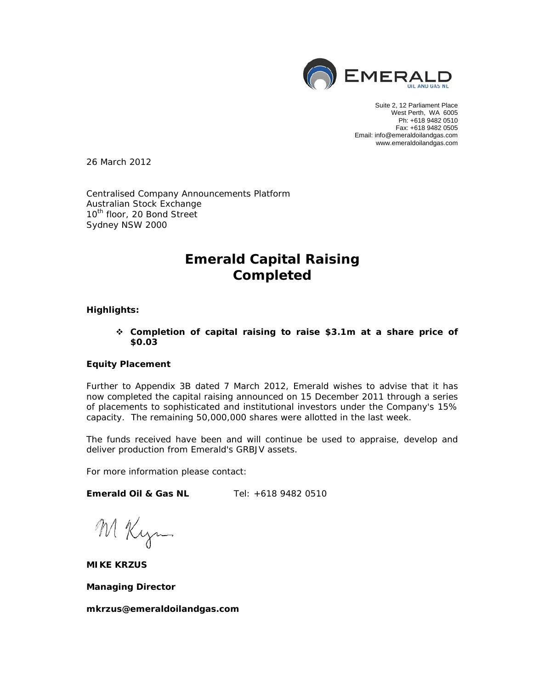

Suite 2, 12 Parliament Place West Perth, WA 6005 Ph: +618 9482 0510 Fax: +618 9482 0505 Email: info@emeraldoilandgas.com www.emeraldoilandgas.com

26 March 2012

Centralised Company Announcements Platform Australian Stock Exchange 10<sup>th</sup> floor, 20 Bond Street Sydney NSW 2000

# **Emerald Capital Raising Completed**

## **Highlights:**

 **Completion of capital raising to raise \$3.1m at a share price of \$0.03** 

# **Equity Placement**

Further to Appendix 3B dated 7 March 2012, Emerald wishes to advise that it has now completed the capital raising announced on 15 December 2011 through a series of placements to sophisticated and institutional investors under the Company's 15% capacity. The remaining 50,000,000 shares were allotted in the last week.

The funds received have been and will continue be used to appraise, develop and deliver production from Emerald's GRBJV assets.

For more information please contact:

**Emerald Oil & Gas NL** Tel: +618 9482 0510

M Kym

**MIKE KRZUS** 

**Managing Director** 

*mkrzus@emeraldoilandgas.com*